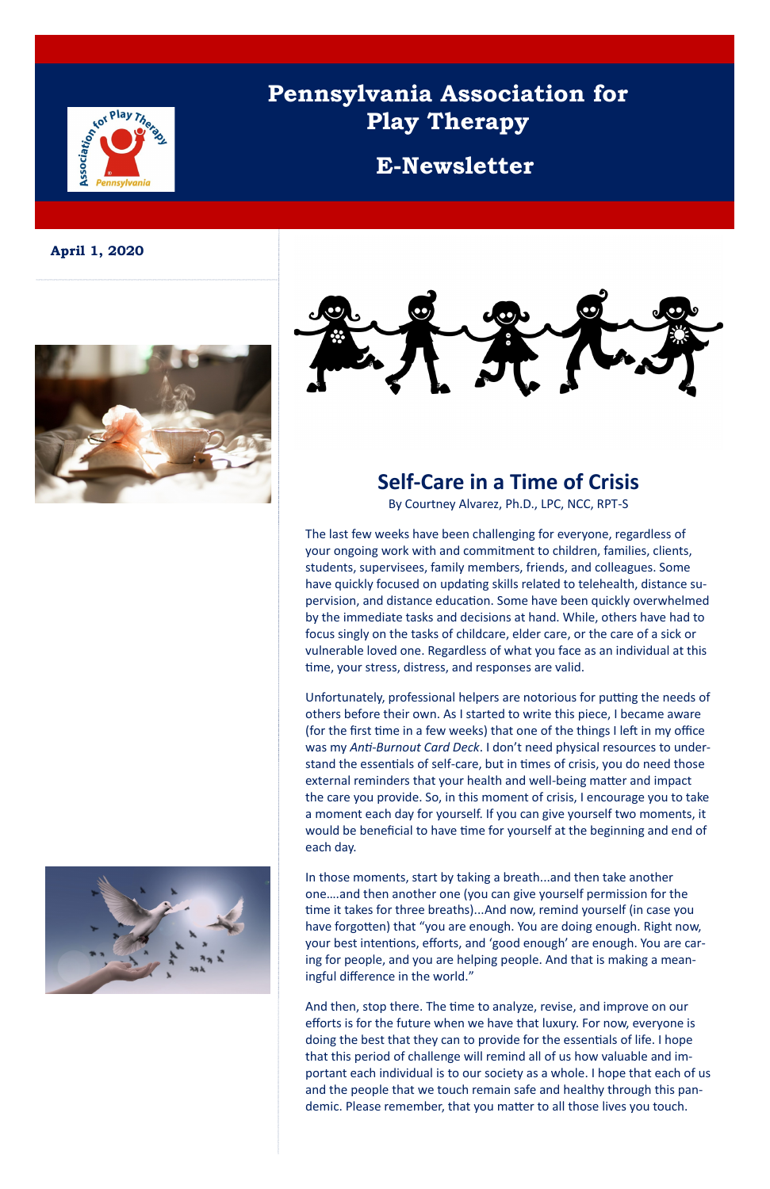# **Example 12 Play There**

# **Pennsylvania Association for Play Therapy**

### **E-Newsletter**

**April 1, 2020**





### **Self-Care in a Time of Crisis**

By Courtney Alvarez, Ph.D., LPC, NCC, RPT-S

The last few weeks have been challenging for everyone, regardless of your ongoing work with and commitment to children, families, clients, students, supervisees, family members, friends, and colleagues. Some have quickly focused on updating skills related to telehealth, distance supervision, and distance education. Some have been quickly overwhelmed by the immediate tasks and decisions at hand. While, others have had to focus singly on the tasks of childcare, elder care, or the care of a sick or vulnerable loved one. Regardless of what you face as an individual at this time, your stress, distress, and responses are valid.

Unfortunately, professional helpers are notorious for putting the needs of others before their own. As I started to write this piece, I became aware (for the first time in a few weeks) that one of the things I left in my office was my *Anti-Burnout Card Deck*. I don't need physical resources to understand the essentials of self-care, but in times of crisis, you do need those external reminders that your health and well-being matter and impact the care you provide. So, in this moment of crisis, I encourage you to take a moment each day for yourself. If you can give yourself two moments, it would be beneficial to have time for yourself at the beginning and end of each day.

In those moments, start by taking a breath...and then take another one….and then another one (you can give yourself permission for the time it takes for three breaths)...And now, remind yourself (in case you have forgotten) that "you are enough. You are doing enough. Right now, your best intentions, efforts, and 'good enough' are enough. You are caring for people, and you are helping people. And that is making a meaningful difference in the world."



And then, stop there. The time to analyze, revise, and improve on our efforts is for the future when we have that luxury. For now, everyone is doing the best that they can to provide for the essentials of life. I hope that this period of challenge will remind all of us how valuable and important each individual is to our society as a whole. I hope that each of us and the people that we touch remain safe and healthy through this pandemic. Please remember, that you matter to all those lives you touch.